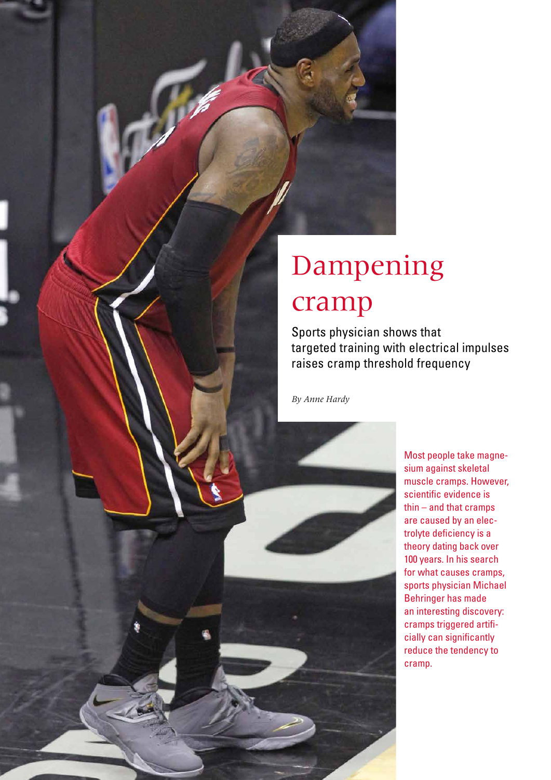

# Dampening cramp

Sports physician shows that targeted training with electrical impulses raises cramp threshold frequency

*By Anne Hardy*

Most people take magnesium against skeletal muscle cramps. However, scientific evidence is thin – and that cramps are caused by an electrolyte deficiency is a theory dating back over 100 years. In his search for what causes cramps, sports physician Michael Behringer has made an interesting discovery: cramps triggered artificially can significantly reduce the tendency to cramp.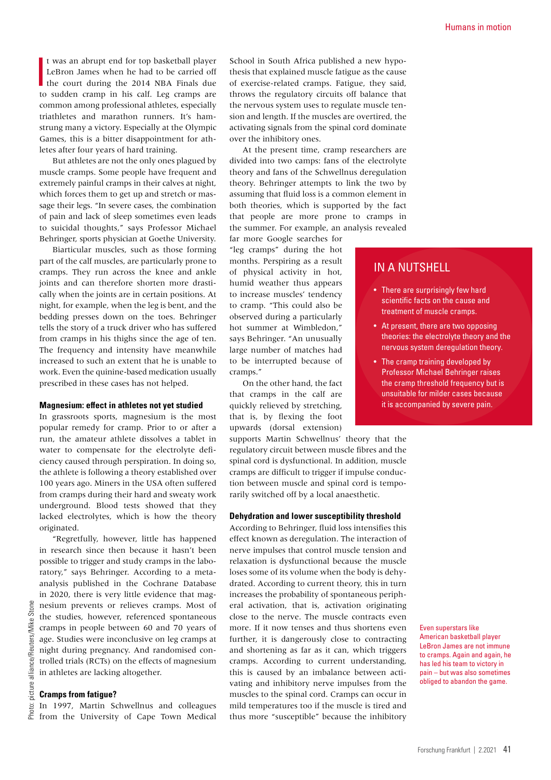$\frac{1}{10}$ t was an abrupt end for top basketball player LeBron James when he had to be carried off the court during the 2014 NBA Finals due to sudden cramp in his calf. Leg cramps are common among professional athletes, especially triathletes and marathon runners. It's hamstrung many a victory. Especially at the Olympic Games, this is a bitter disappointment for athletes after four years of hard training.

But athletes are not the only ones plagued by muscle cramps. Some people have frequent and extremely painful cramps in their calves at night, which forces them to get up and stretch or massage their legs. "In severe cases, the combination of pain and lack of sleep sometimes even leads to suicidal thoughts," says Professor Michael Behringer, sports physician at Goethe University.

Biarticular muscles, such as those forming part of the calf muscles, are particularly prone to cramps. They run across the knee and ankle joints and can therefore shorten more drastically when the joints are in certain positions. At night, for example, when the leg is bent, and the bedding presses down on the toes. Behringer tells the story of a truck driver who has suffered from cramps in his thighs since the age of ten. The frequency and intensity have meanwhile increased to such an extent that he is unable to work. Even the quinine-based medication usually prescribed in these cases has not helped.

### **Magnesium: effect in athletes not yet studied**

In grassroots sports, magnesium is the most popular remedy for cramp. Prior to or after a run, the amateur athlete dissolves a tablet in water to compensate for the electrolyte deficiency caused through perspiration. In doing so, the athlete is following a theory established over 100 years ago. Miners in the USA often suffered from cramps during their hard and sweaty work underground. Blood tests showed that they lacked electrolytes, which is how the theory originated.

"Regretfully, however, little has happened in research since then because it hasn't been possible to trigger and study cramps in the laboratory," says Behringer. According to a metaanalysis published in the Cochrane Database in 2020, there is very little evidence that magnesium prevents or relieves cramps. Most of the studies, however, referenced spontaneous cramps in people between 60 and 70 years of age. Studies were inconclusive on leg cramps at night during pregnancy. And randomised controlled trials (RCTs) on the effects of magnesium in athletes are lacking altogether.

### **Cramps from fatigue?**

In 1997, Martin Schwellnus and colleagues from the University of Cape Town Medical School in South Africa published a new hypothesis that explained muscle fatigue as the cause of exercise-related cramps. Fatigue, they said, throws the regulatory circuits off balance that the nervous system uses to regulate muscle tension and length. If the muscles are overtired, the activating signals from the spinal cord dominate over the inhibitory ones.

At the present time, cramp researchers are divided into two camps: fans of the electrolyte theory and fans of the Schwellnus deregulation theory. Behringer attempts to link the two by assuming that fluid loss is a common element in both theories, which is supported by the fact that people are more prone to cramps in the summer. For example, an analysis revealed far more Google searches for

"leg cramps" during the hot months. Perspiring as a result of physical activity in hot, humid weather thus appears to increase muscles' tendency to cramp. "This could also be observed during a particularly hot summer at Wimbledon," says Behringer. "An unusually large number of matches had to be interrupted because of cramps."

On the other hand, the fact that cramps in the calf are quickly relieved by stretching, that is, by flexing the foot upwards (dorsal extension)

supports Martin Schwellnus' theory that the regulatory circuit between muscle fibres and the spinal cord is dysfunctional. In addition, muscle cramps are difficult to trigger if impulse conduction between muscle and spinal cord is temporarily switched off by a local anaesthetic.

### **Dehydration and lower susceptibility threshold**

According to Behringer, fluid loss intensifies this effect known as deregulation. The interaction of nerve impulses that control muscle tension and relaxation is dysfunctional because the muscle loses some of its volume when the body is dehydrated. According to current theory, this in turn increases the probability of spontaneous peripheral activation, that is, activation originating close to the nerve. The muscle contracts even more. If it now tenses and thus shortens even further, it is dangerously close to contracting and shortening as far as it can, which triggers cramps. According to current understanding, this is caused by an imbalance between activating and inhibitory nerve impulses from the muscles to the spinal cord. Cramps can occur in mild temperatures too if the muscle is tired and thus more "susceptible" because the inhibitory

# IN A NUTSHELL

- There are surprisingly few hard scientific facts on the cause and treatment of muscle cramps.
- At present, there are two opposing theories: the electrolyte theory and the nervous system deregulation theory.
- The cramp training developed by Professor Michael Behringer raises the cramp threshold frequency but is unsuitable for milder cases because it is accompanied by severe pain.

Even superstars like American basketball player LeBron James are not immune to cramps. Again and again, he has led his team to victory in pain – but was also sometimes obliged to abandon the game.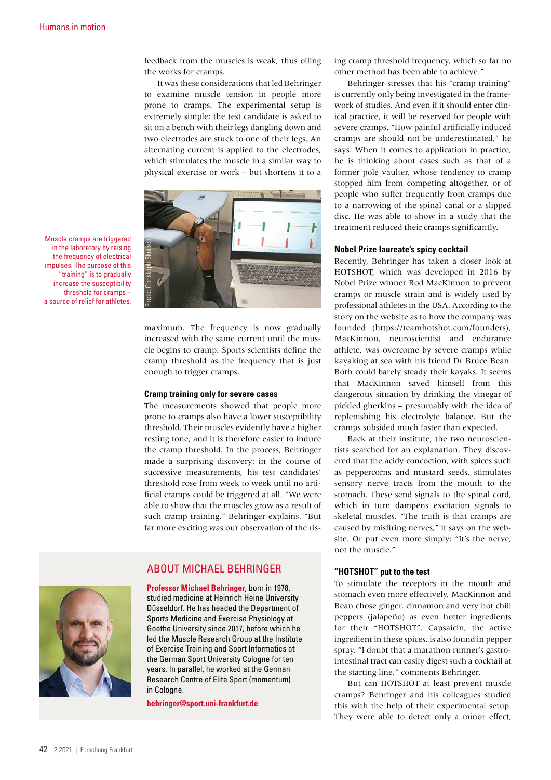feedback from the muscles is weak, thus oiling the works for cramps.

It was these considerations that led Behringer to examine muscle tension in people more prone to cramps. The experimental setup is extremely simple: the test candidate is asked to sit on a bench with their legs dangling down and two electrodes are stuck to one of their legs. An alternating current is applied to the electrodes, which stimulates the muscle in a similar way to physical exercise or work – but shortens it to a



Muscle cramps are triggered in the laboratory by raising the frequency of electrical impulses. The purpose of this "training" is to gradually increase the susceptibility threshold for cramps – a source of relief for athletes.

> maximum. The frequency is now gradually increased with the same current until the muscle begins to cramp. Sports scientists define the cramp threshold as the frequency that is just enough to trigger cramps.

### **Cramp training only for severe cases**

The measurements showed that people more prone to cramps also have a lower susceptibility threshold. Their muscles evidently have a higher resting tone, and it is therefore easier to induce the cramp threshold. In the process, Behringer made a surprising discovery: in the course of successive measurements, his test candidates' threshold rose from week to week until no artificial cramps could be triggered at all. "We were able to show that the muscles grow as a result of such cramp training," Behringer explains. "But far more exciting was our observation of the ris-

# ABOUT MICHAEL BEHRINGER

**Professor Michael Behringer**, born in 1978, studied medicine at Heinrich Heine University Düsseldorf. He has headed the Department of Sports Medicine and Exercise Physiology at Goethe University since 2017, before which he led the Muscle Research Group at the Institute of Exercise Training and Sport Informatics at the German Sport University Cologne for ten years. In parallel, he worked at the German Research Centre of Elite Sport (momentum) in Cologne.

**[behringer@sport.uni-frankfurt.de](mailto:behringer@sport.uni-frankfurt.de)**

ing cramp threshold frequency, which so far no other method has been able to achieve."

Behringer stresses that his "cramp training" is currently only being investigated in the framework of studies. And even if it should enter clinical practice, it will be reserved for people with severe cramps. "How painful artificially induced cramps are should not be underestimated," he says. When it comes to application in practice, he is thinking about cases such as that of a former pole vaulter, whose tendency to cramp stopped him from competing altogether, or of people who suffer frequently from cramps due to a narrowing of the spinal canal or a slipped disc. He was able to show in a study that the treatment reduced their cramps significantly.

### **Nobel Prize laureate's spicy cocktail**

Recently, Behringer has taken a closer look at HOTSHOT, which was developed in 2016 by Nobel Prize winner Rod MacKinnon to prevent cramps or muscle strain and is widely used by professional athletes in the USA. According to the story on the website as to how the company was founded [\(https://teamhotshot.com/founders\)](https://teamhotshot.com/founders), MacKinnon, neuroscientist and endurance athlete, was overcome by severe cramps while kayaking at sea with his friend Dr Bruce Bean. Both could barely steady their kayaks. It seems that MacKinnon saved himself from this dangerous situation by drinking the vinegar of pickled gherkins – presumably with the idea of replenishing his electrolyte balance. But the cramps subsided much faster than expected.

Back at their institute, the two neuroscientists searched for an explanation. They discovered that the acidy concoction, with spices such as peppercorns and mustard seeds, stimulates sensory nerve tracts from the mouth to the stomach. These send signals to the spinal cord, which in turn dampens excitation signals to skeletal muscles. "The truth is that cramps are caused by misfiring nerves," it says on the website. Or put even more simply: "It's the nerve, not the muscle."

### **"HOTSHOT" put to the test**

To stimulate the receptors in the mouth and stomach even more effectively, MacKinnon and Bean chose ginger, cinnamon and very hot chili peppers (jalapeño) as even hotter ingredients for their "HOTSHOT". Capsaicin, the active ingredient in these spices, is also found in pepper spray. "I doubt that a marathon runner's gastrointestinal tract can easily digest such a cocktail at the starting line," comments Behringer.

But can HOTSHOT at least prevent muscle cramps? Behringer and his colleagues studied this with the help of their experimental setup. They were able to detect only a minor effect,